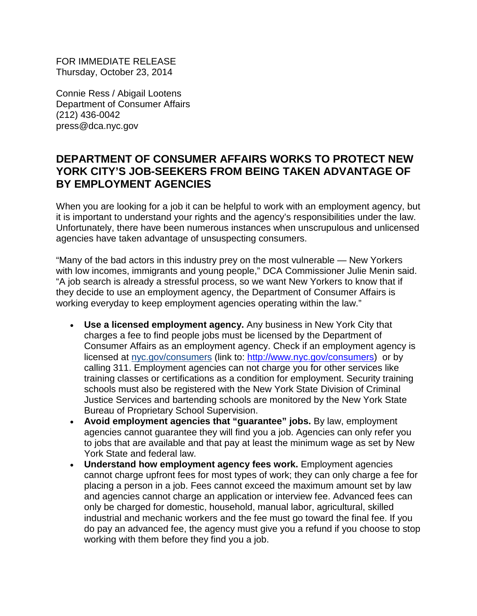FOR IMMEDIATE RELEASE Thursday, October 23, 2014

Connie Ress / Abigail Lootens Department of Consumer Affairs (212) 436-0042 press@dca.nyc.gov

## **DEPARTMENT OF CONSUMER AFFAIRS WORKS TO PROTECT NEW YORK CITY'S JOB-SEEKERS FROM BEING TAKEN ADVANTAGE OF BY EMPLOYMENT AGENCIES**

When you are looking for a job it can be helpful to work with an employment agency, but it is important to understand your rights and the agency's responsibilities under the law. Unfortunately, there have been numerous instances when unscrupulous and unlicensed agencies have taken advantage of unsuspecting consumers.

"Many of the bad actors in this industry prey on the most vulnerable — New Yorkers with low incomes, immigrants and young people," DCA Commissioner Julie Menin said. "A job search is already a stressful process, so we want New Yorkers to know that if they decide to use an employment agency, the Department of Consumer Affairs is working everyday to keep employment agencies operating within the law."

- **Use a licensed employment agency.** Any business in New York City that charges a fee to find people jobs must be licensed by the Department of Consumer Affairs as an employment agency. Check if an employment agency is licensed at nyc.gov/consumers (link to: [http://www.nyc.gov/consumers\)](http://www.nyc.gov/consumers) or by calling 311. Employment agencies can not charge you for other services like training classes or certifications as a condition for employment. Security training schools must also be registered with the New York State Division of Criminal Justice Services and bartending schools are monitored by the New York State Bureau of Proprietary School Supervision.
- **Avoid employment agencies that "guarantee" jobs.** By law, employment agencies cannot guarantee they will find you a job. Agencies can only refer you to jobs that are available and that pay at least the minimum wage as set by New York State and federal law.
- **Understand how employment agency fees work.** Employment agencies cannot charge upfront fees for most types of work; they can only charge a fee for placing a person in a job. Fees cannot exceed the maximum amount set by law and agencies cannot charge an application or interview fee. Advanced fees can only be charged for domestic, household, manual labor, agricultural, skilled industrial and mechanic workers and the fee must go toward the final fee. If you do pay an advanced fee, the agency must give you a refund if you choose to stop working with them before they find you a job.